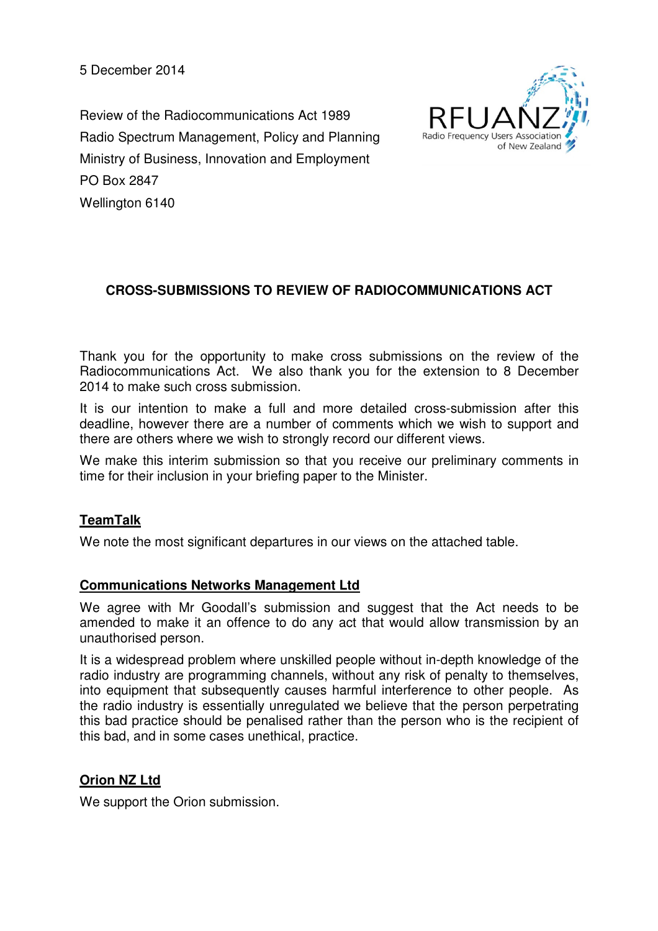5 December 2014

Review of the Radiocommunications Act 1989 Radio Spectrum Management, Policy and Planning Ministry of Business, Innovation and Employment PO Box 2847 Wellington 6140



# **CROSS-SUBMISSIONS TO REVIEW OF RADIOCOMMUNICATIONS ACT**

Thank you for the opportunity to make cross submissions on the review of the Radiocommunications Act. We also thank you for the extension to 8 December 2014 to make such cross submission.

It is our intention to make a full and more detailed cross-submission after this deadline, however there are a number of comments which we wish to support and there are others where we wish to strongly record our different views.

We make this interim submission so that you receive our preliminary comments in time for their inclusion in your briefing paper to the Minister.

## **TeamTalk**

We note the most significant departures in our views on the attached table.

### **Communications Networks Management Ltd**

We agree with Mr Goodall's submission and suggest that the Act needs to be amended to make it an offence to do any act that would allow transmission by an unauthorised person.

It is a widespread problem where unskilled people without in-depth knowledge of the radio industry are programming channels, without any risk of penalty to themselves, into equipment that subsequently causes harmful interference to other people. As the radio industry is essentially unregulated we believe that the person perpetrating this bad practice should be penalised rather than the person who is the recipient of this bad, and in some cases unethical, practice.

## **Orion NZ Ltd**

We support the Orion submission.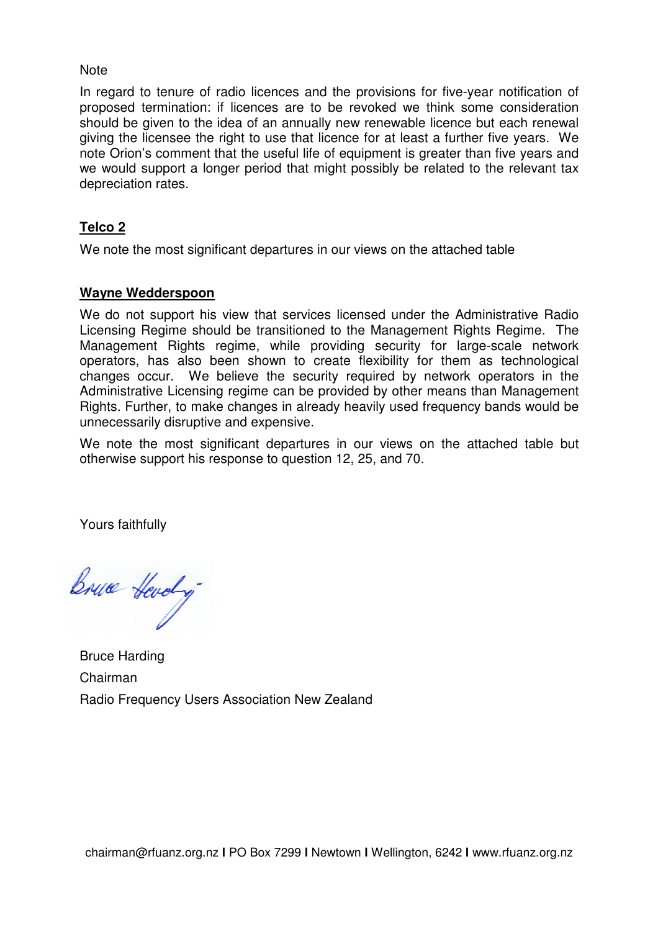#### **Note**

In regard to tenure of radio licences and the provisions for five-year notification of proposed termination: if licences are to be revoked we think some consideration should be given to the idea of an annually new renewable licence but each renewal giving the licensee the right to use that licence for at least a further five years. We note Orion's comment that the useful life of equipment is greater than five years and we would support a longer period that might possibly be related to the relevant tax depreciation rates. f equipment is greater than five years and<br>yht possibly be related to the relevant tax<br>our views on the attached table<br>licensed under the Administrative Radio<br>to the Management Rights Regime. The

## **Telco 2**

We note the most significant departures in our views on the attached table

## **Wayne Wedderspoon**

We do not support his view that services licensed under the Administrative Radio Licensing Regime should be transitioned to the Management Rights R Management Rights regime, while providing security for large-scale network operators, has also been shown to create flexibility for them as technological changes occur. We believe the security required by network operators in the Administrative Licensing regime can be provided by other means than than Management Rights. Further, to make changes in already heavily used frequency bands would be unnecessarily disruptive and expensive.

We note the most significant departures in our views on the attached table but otherwise support his response to question 12, 25, and 70.

Yours faithfully

Bruce Hevely

Bruce Harding Chairman Radio Frequency Users Association New Zealand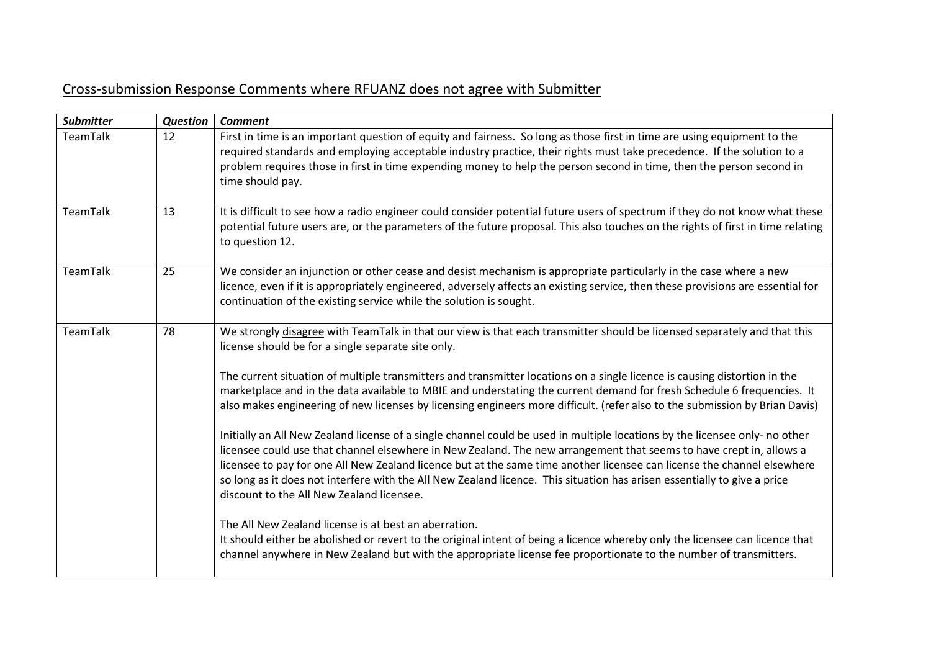# Cross-submission Response Comments where RFUANZ does not agree with Submitter

| <b>Question</b> | <b>Comment</b>                                                                                                                                                                                                                                                                                                                                                                                                                                                                                                                                                                                                                                                                                                                                                                                                                                                                                                                                                                                                                                                                                                                                                                                                                                                                                                                                                                                                                               |
|-----------------|----------------------------------------------------------------------------------------------------------------------------------------------------------------------------------------------------------------------------------------------------------------------------------------------------------------------------------------------------------------------------------------------------------------------------------------------------------------------------------------------------------------------------------------------------------------------------------------------------------------------------------------------------------------------------------------------------------------------------------------------------------------------------------------------------------------------------------------------------------------------------------------------------------------------------------------------------------------------------------------------------------------------------------------------------------------------------------------------------------------------------------------------------------------------------------------------------------------------------------------------------------------------------------------------------------------------------------------------------------------------------------------------------------------------------------------------|
| 12              | First in time is an important question of equity and fairness. So long as those first in time are using equipment to the<br>required standards and employing acceptable industry practice, their rights must take precedence. If the solution to a<br>problem requires those in first in time expending money to help the person second in time, then the person second in<br>time should pay.                                                                                                                                                                                                                                                                                                                                                                                                                                                                                                                                                                                                                                                                                                                                                                                                                                                                                                                                                                                                                                               |
| 13              | It is difficult to see how a radio engineer could consider potential future users of spectrum if they do not know what these<br>potential future users are, or the parameters of the future proposal. This also touches on the rights of first in time relating<br>to question 12.                                                                                                                                                                                                                                                                                                                                                                                                                                                                                                                                                                                                                                                                                                                                                                                                                                                                                                                                                                                                                                                                                                                                                           |
| 25              | We consider an injunction or other cease and desist mechanism is appropriate particularly in the case where a new<br>licence, even if it is appropriately engineered, adversely affects an existing service, then these provisions are essential for<br>continuation of the existing service while the solution is sought.                                                                                                                                                                                                                                                                                                                                                                                                                                                                                                                                                                                                                                                                                                                                                                                                                                                                                                                                                                                                                                                                                                                   |
| 78              | We strongly disagree with TeamTalk in that our view is that each transmitter should be licensed separately and that this<br>license should be for a single separate site only.<br>The current situation of multiple transmitters and transmitter locations on a single licence is causing distortion in the<br>marketplace and in the data available to MBIE and understating the current demand for fresh Schedule 6 frequencies. It<br>also makes engineering of new licenses by licensing engineers more difficult. (refer also to the submission by Brian Davis)<br>Initially an All New Zealand license of a single channel could be used in multiple locations by the licensee only- no other<br>licensee could use that channel elsewhere in New Zealand. The new arrangement that seems to have crept in, allows a<br>licensee to pay for one All New Zealand licence but at the same time another licensee can license the channel elsewhere<br>so long as it does not interfere with the All New Zealand licence. This situation has arisen essentially to give a price<br>discount to the All New Zealand licensee.<br>The All New Zealand license is at best an aberration.<br>It should either be abolished or revert to the original intent of being a licence whereby only the licensee can licence that<br>channel anywhere in New Zealand but with the appropriate license fee proportionate to the number of transmitters. |
|                 |                                                                                                                                                                                                                                                                                                                                                                                                                                                                                                                                                                                                                                                                                                                                                                                                                                                                                                                                                                                                                                                                                                                                                                                                                                                                                                                                                                                                                                              |